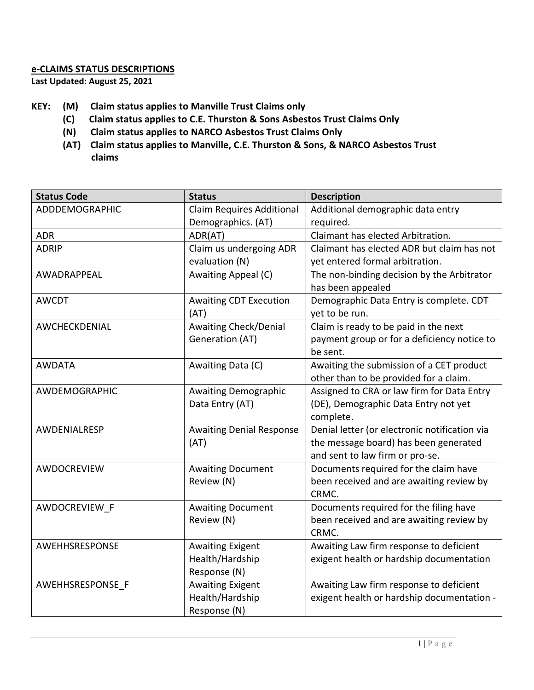## **e-CLAIMS STATUS DESCRIPTIONS**

**Last Updated: August 25, 2021**

- **KEY: (M) Claim status applies to Manville Trust Claims only**
	- **(C) Claim status applies to C.E. Thurston & Sons Asbestos Trust Claims Only**
	- **(N) Claim status applies to NARCO Asbestos Trust Claims Only**
	- **(AT) Claim status applies to Manville, C.E. Thurston & Sons, & NARCO Asbestos Trust claims**

| <b>Status Code</b> | <b>Status</b>                    | <b>Description</b>                            |
|--------------------|----------------------------------|-----------------------------------------------|
| ADDDEMOGRAPHIC     | <b>Claim Requires Additional</b> | Additional demographic data entry             |
|                    | Demographics. (AT)               | required.                                     |
| <b>ADR</b>         | ADR(AT)                          | Claimant has elected Arbitration.             |
| <b>ADRIP</b>       | Claim us undergoing ADR          | Claimant has elected ADR but claim has not    |
|                    | evaluation (N)                   | yet entered formal arbitration.               |
| AWADRAPPEAL        | Awaiting Appeal (C)              | The non-binding decision by the Arbitrator    |
|                    |                                  | has been appealed                             |
| <b>AWCDT</b>       | <b>Awaiting CDT Execution</b>    | Demographic Data Entry is complete. CDT       |
|                    | (AT)                             | yet to be run.                                |
| AWCHECKDENIAL      | <b>Awaiting Check/Denial</b>     | Claim is ready to be paid in the next         |
|                    | Generation (AT)                  | payment group or for a deficiency notice to   |
|                    |                                  | be sent.                                      |
| <b>AWDATA</b>      | Awaiting Data (C)                | Awaiting the submission of a CET product      |
|                    |                                  | other than to be provided for a claim.        |
| AWDEMOGRAPHIC      | <b>Awaiting Demographic</b>      | Assigned to CRA or law firm for Data Entry    |
|                    | Data Entry (AT)                  | (DE), Demographic Data Entry not yet          |
|                    |                                  | complete.                                     |
| AWDENIALRESP       | <b>Awaiting Denial Response</b>  | Denial letter (or electronic notification via |
|                    | (AT)                             | the message board) has been generated         |
|                    |                                  | and sent to law firm or pro-se.               |
| AWDOCREVIEW        | <b>Awaiting Document</b>         | Documents required for the claim have         |
|                    | Review (N)                       | been received and are awaiting review by      |
|                    |                                  | CRMC.                                         |
| AWDOCREVIEW F      | <b>Awaiting Document</b>         | Documents required for the filing have        |
|                    | Review (N)                       | been received and are awaiting review by      |
|                    |                                  | CRMC.                                         |
| AWEHHSRESPONSE     | <b>Awaiting Exigent</b>          | Awaiting Law firm response to deficient       |
|                    | Health/Hardship                  | exigent health or hardship documentation      |
|                    | Response (N)                     |                                               |
| AWEHHSRESPONSE F   | <b>Awaiting Exigent</b>          | Awaiting Law firm response to deficient       |
|                    | Health/Hardship                  | exigent health or hardship documentation -    |
|                    | Response (N)                     |                                               |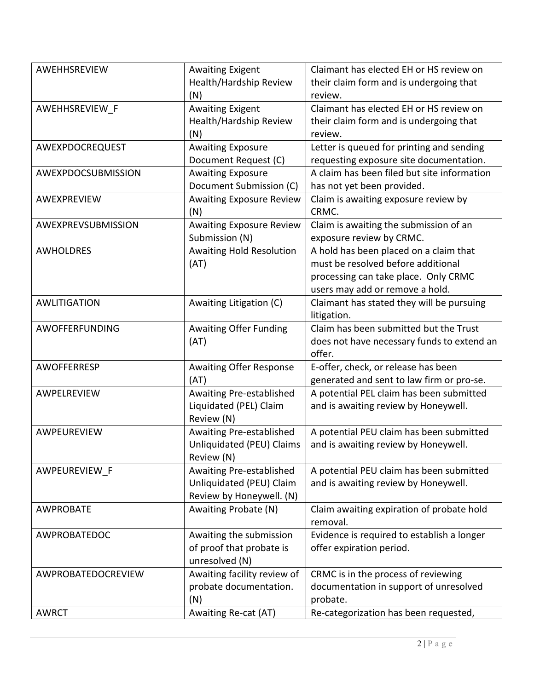| AWEHHSREVIEW        | <b>Awaiting Exigent</b>         | Claimant has elected EH or HS review on     |
|---------------------|---------------------------------|---------------------------------------------|
|                     | Health/Hardship Review          | their claim form and is undergoing that     |
|                     | (N)                             | review.                                     |
| AWEHHSREVIEW F      | <b>Awaiting Exigent</b>         | Claimant has elected EH or HS review on     |
|                     | Health/Hardship Review          | their claim form and is undergoing that     |
|                     | (N)                             | review.                                     |
| AWEXPDOCREQUEST     | <b>Awaiting Exposure</b>        | Letter is queued for printing and sending   |
|                     | Document Request (C)            | requesting exposure site documentation.     |
| AWEXPDOCSUBMISSION  | <b>Awaiting Exposure</b>        | A claim has been filed but site information |
|                     | Document Submission (C)         | has not yet been provided.                  |
| AWEXPREVIEW         | <b>Awaiting Exposure Review</b> | Claim is awaiting exposure review by        |
|                     | (N)                             | CRMC.                                       |
| AWEXPREVSUBMISSION  | <b>Awaiting Exposure Review</b> | Claim is awaiting the submission of an      |
|                     | Submission (N)                  | exposure review by CRMC.                    |
| <b>AWHOLDRES</b>    | Awaiting Hold Resolution        | A hold has been placed on a claim that      |
|                     | (AT)                            | must be resolved before additional          |
|                     |                                 | processing can take place. Only CRMC        |
|                     |                                 | users may add or remove a hold.             |
| <b>AWLITIGATION</b> | Awaiting Litigation (C)         | Claimant has stated they will be pursuing   |
|                     |                                 | litigation.                                 |
| AWOFFERFUNDING      | <b>Awaiting Offer Funding</b>   | Claim has been submitted but the Trust      |
|                     | (AT)                            | does not have necessary funds to extend an  |
|                     |                                 | offer.                                      |
| AWOFFERRESP         | <b>Awaiting Offer Response</b>  | E-offer, check, or release has been         |
|                     | (AT)                            | generated and sent to law firm or pro-se.   |
| AWPELREVIEW         | Awaiting Pre-established        | A potential PEL claim has been submitted    |
|                     | Liquidated (PEL) Claim          | and is awaiting review by Honeywell.        |
|                     | Review (N)                      |                                             |
| AWPEUREVIEW         | Awaiting Pre-established        | A potential PEU claim has been submitted    |
|                     | Unliquidated (PEU) Claims       | and is awaiting review by Honeywell.        |
|                     | Review (N)                      |                                             |
| AWPEUREVIEW F       | Awaiting Pre-established        | A potential PEU claim has been submitted    |
|                     | Unliquidated (PEU) Claim        | and is awaiting review by Honeywell.        |
|                     | Review by Honeywell. (N)        |                                             |
| <b>AWPROBATE</b>    | Awaiting Probate (N)            | Claim awaiting expiration of probate hold   |
|                     |                                 | removal.                                    |
| AWPROBATEDOC        | Awaiting the submission         | Evidence is required to establish a longer  |
|                     | of proof that probate is        | offer expiration period.                    |
|                     | unresolved (N)                  |                                             |
| AWPROBATEDOCREVIEW  | Awaiting facility review of     | CRMC is in the process of reviewing         |
|                     | probate documentation.          | documentation in support of unresolved      |
|                     | (N)                             | probate.                                    |
| <b>AWRCT</b>        | Awaiting Re-cat (AT)            | Re-categorization has been requested,       |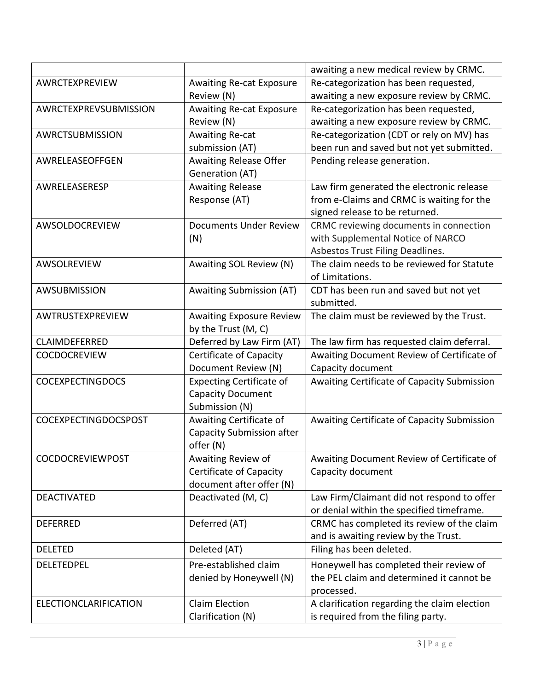|                         |                                  | awaiting a new medical review by CRMC.       |
|-------------------------|----------------------------------|----------------------------------------------|
| AWRCTEXPREVIEW          | <b>Awaiting Re-cat Exposure</b>  | Re-categorization has been requested,        |
|                         | Review (N)                       | awaiting a new exposure review by CRMC.      |
| AWRCTEXPREVSUBMISSION   | <b>Awaiting Re-cat Exposure</b>  | Re-categorization has been requested,        |
|                         | Review (N)                       | awaiting a new exposure review by CRMC.      |
| AWRCTSUBMISSION         | Awaiting Re-cat                  | Re-categorization (CDT or rely on MV) has    |
|                         | submission (AT)                  | been run and saved but not yet submitted.    |
| AWRELEASEOFFGEN         | Awaiting Release Offer           | Pending release generation.                  |
|                         | Generation (AT)                  |                                              |
| AWRELEASERESP           | <b>Awaiting Release</b>          | Law firm generated the electronic release    |
|                         | Response (AT)                    | from e-Claims and CRMC is waiting for the    |
|                         |                                  | signed release to be returned.               |
| AWSOLDOCREVIEW          | <b>Documents Under Review</b>    | CRMC reviewing documents in connection       |
|                         | (N)                              | with Supplemental Notice of NARCO            |
|                         |                                  | Asbestos Trust Filing Deadlines.             |
| <b>AWSOLREVIEW</b>      | Awaiting SOL Review (N)          | The claim needs to be reviewed for Statute   |
|                         |                                  | of Limitations.                              |
| AWSUBMISSION            | <b>Awaiting Submission (AT)</b>  | CDT has been run and saved but not yet       |
|                         |                                  | submitted.                                   |
| AWTRUSTEXPREVIEW        | <b>Awaiting Exposure Review</b>  | The claim must be reviewed by the Trust.     |
|                         | by the Trust (M, C)              |                                              |
| <b>CLAIMDEFERRED</b>    | Deferred by Law Firm (AT)        | The law firm has requested claim deferral.   |
| <b>COCDOCREVIEW</b>     | Certificate of Capacity          | Awaiting Document Review of Certificate of   |
|                         | Document Review (N)              | Capacity document                            |
| <b>COCEXPECTINGDOCS</b> | <b>Expecting Certificate of</b>  | Awaiting Certificate of Capacity Submission  |
|                         | <b>Capacity Document</b>         |                                              |
|                         | Submission (N)                   |                                              |
| COCEXPECTINGDOCSPOST    | Awaiting Certificate of          | Awaiting Certificate of Capacity Submission  |
|                         | <b>Capacity Submission after</b> |                                              |
|                         | offer (N)                        |                                              |
| <b>COCDOCREVIEWPOST</b> | Awaiting Review of               | Awaiting Document Review of Certificate of   |
|                         | Certificate of Capacity          | Capacity document                            |
|                         | document after offer (N)         |                                              |
| <b>DEACTIVATED</b>      | Deactivated (M, C)               | Law Firm/Claimant did not respond to offer   |
|                         |                                  | or denial within the specified timeframe.    |
| <b>DEFERRED</b>         | Deferred (AT)                    | CRMC has completed its review of the claim   |
|                         |                                  | and is awaiting review by the Trust.         |
| <b>DELETED</b>          | Deleted (AT)                     | Filing has been deleted.                     |
| <b>DELETEDPEL</b>       | Pre-established claim            | Honeywell has completed their review of      |
|                         | denied by Honeywell (N)          | the PEL claim and determined it cannot be    |
|                         |                                  | processed.                                   |
| ELECTIONCLARIFICATION   | <b>Claim Election</b>            | A clarification regarding the claim election |
|                         | Clarification (N)                | is required from the filing party.           |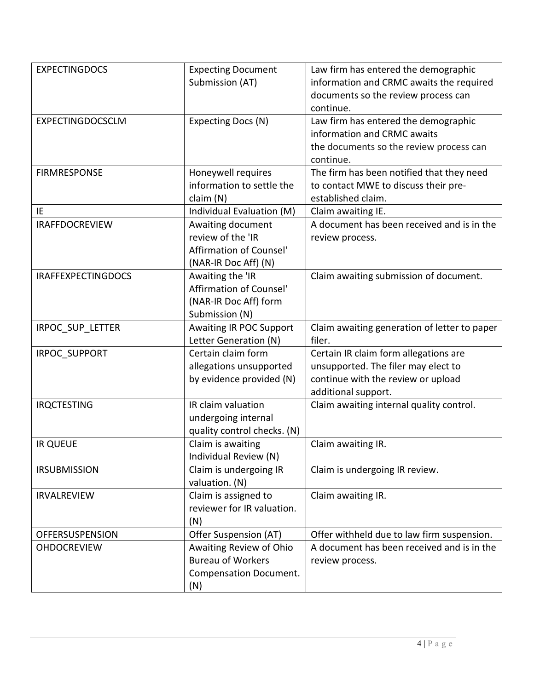| <b>EXPECTINGDOCS</b>      | <b>Expecting Document</b><br>Submission (AT)                                                | Law firm has entered the demographic<br>information and CRMC awaits the required<br>documents so the review process can<br>continue.      |
|---------------------------|---------------------------------------------------------------------------------------------|-------------------------------------------------------------------------------------------------------------------------------------------|
| EXPECTINGDOCSCLM          | Expecting Docs (N)                                                                          | Law firm has entered the demographic<br>information and CRMC awaits<br>the documents so the review process can<br>continue.               |
| <b>FIRMRESPONSE</b>       | Honeywell requires<br>information to settle the<br>claim(N)                                 | The firm has been notified that they need<br>to contact MWE to discuss their pre-<br>established claim.                                   |
| IE                        | Individual Evaluation (M)                                                                   | Claim awaiting IE.                                                                                                                        |
| <b>IRAFFDOCREVIEW</b>     | Awaiting document<br>review of the 'IR<br>Affirmation of Counsel'<br>(NAR-IR Doc Aff) (N)   | A document has been received and is in the<br>review process.                                                                             |
| <b>IRAFFEXPECTINGDOCS</b> | Awaiting the 'IR<br>Affirmation of Counsel'<br>(NAR-IR Doc Aff) form<br>Submission (N)      | Claim awaiting submission of document.                                                                                                    |
| IRPOC_SUP_LETTER          | Awaiting IR POC Support<br>Letter Generation (N)                                            | Claim awaiting generation of letter to paper<br>filer.                                                                                    |
| <b>IRPOC SUPPORT</b>      | Certain claim form<br>allegations unsupported<br>by evidence provided (N)                   | Certain IR claim form allegations are<br>unsupported. The filer may elect to<br>continue with the review or upload<br>additional support. |
| <b>IRQCTESTING</b>        | IR claim valuation<br>undergoing internal<br>quality control checks. (N)                    | Claim awaiting internal quality control.                                                                                                  |
| <b>IR QUEUE</b>           | Claim is awaiting<br>Individual Review (N)                                                  | Claim awaiting IR.                                                                                                                        |
| <b>IRSUBMISSION</b>       | Claim is undergoing IR<br>valuation. (N)                                                    | Claim is undergoing IR review.                                                                                                            |
| <b>IRVALREVIEW</b>        | Claim is assigned to<br>reviewer for IR valuation.<br>(N)                                   | Claim awaiting IR.                                                                                                                        |
| <b>OFFERSUSPENSION</b>    | Offer Suspension (AT)                                                                       | Offer withheld due to law firm suspension.                                                                                                |
| <b>OHDOCREVIEW</b>        | Awaiting Review of Ohio<br><b>Bureau of Workers</b><br><b>Compensation Document.</b><br>(N) | A document has been received and is in the<br>review process.                                                                             |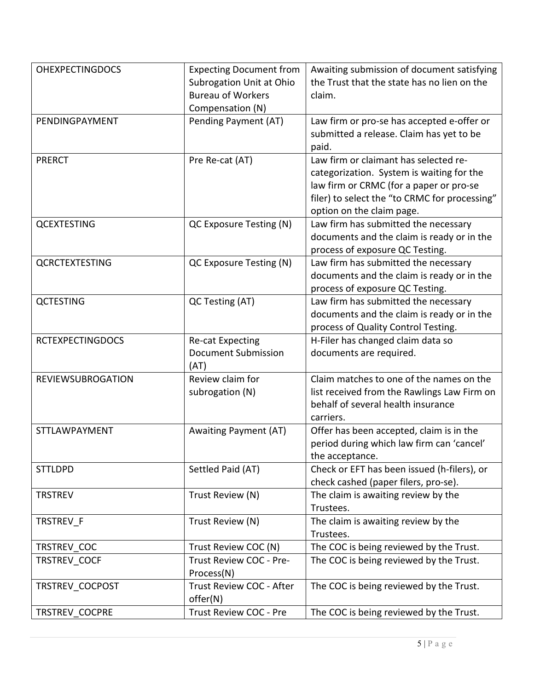| <b>OHEXPECTINGDOCS</b>   | <b>Expecting Document from</b><br>Subrogation Unit at Ohio | Awaiting submission of document satisfying<br>the Trust that the state has no lien on the |
|--------------------------|------------------------------------------------------------|-------------------------------------------------------------------------------------------|
|                          | <b>Bureau of Workers</b>                                   | claim.                                                                                    |
|                          | Compensation (N)                                           |                                                                                           |
| PENDINGPAYMENT           | Pending Payment (AT)                                       | Law firm or pro-se has accepted e-offer or                                                |
|                          |                                                            | submitted a release. Claim has yet to be                                                  |
|                          |                                                            | paid.                                                                                     |
| <b>PRERCT</b>            | Pre Re-cat (AT)                                            | Law firm or claimant has selected re-                                                     |
|                          |                                                            | categorization. System is waiting for the                                                 |
|                          |                                                            | law firm or CRMC (for a paper or pro-se                                                   |
|                          |                                                            | filer) to select the "to CRMC for processing"                                             |
|                          |                                                            | option on the claim page.                                                                 |
| <b>QCEXTESTING</b>       | QC Exposure Testing (N)                                    | Law firm has submitted the necessary                                                      |
|                          |                                                            | documents and the claim is ready or in the                                                |
|                          |                                                            | process of exposure QC Testing.                                                           |
| <b>QCRCTEXTESTING</b>    | QC Exposure Testing (N)                                    | Law firm has submitted the necessary                                                      |
|                          |                                                            | documents and the claim is ready or in the                                                |
|                          |                                                            | process of exposure QC Testing.                                                           |
| <b>QCTESTING</b>         | QC Testing (AT)                                            | Law firm has submitted the necessary                                                      |
|                          |                                                            | documents and the claim is ready or in the                                                |
|                          |                                                            | process of Quality Control Testing.                                                       |
| <b>RCTEXPECTINGDOCS</b>  | <b>Re-cat Expecting</b>                                    | H-Filer has changed claim data so                                                         |
|                          | <b>Document Submission</b>                                 | documents are required.                                                                   |
|                          | (AT)                                                       |                                                                                           |
| <b>REVIEWSUBROGATION</b> | Review claim for                                           | Claim matches to one of the names on the                                                  |
|                          | subrogation (N)                                            | list received from the Rawlings Law Firm on                                               |
|                          |                                                            | behalf of several health insurance                                                        |
|                          |                                                            | carriers.                                                                                 |
| <b>STTLAWPAYMENT</b>     | <b>Awaiting Payment (AT)</b>                               | Offer has been accepted, claim is in the                                                  |
|                          |                                                            | period during which law firm can 'cancel'                                                 |
|                          |                                                            | the acceptance.                                                                           |
| <b>STTLDPD</b>           | Settled Paid (AT)                                          | Check or EFT has been issued (h-filers), or                                               |
| <b>TRSTREV</b>           |                                                            | check cashed (paper filers, pro-se).                                                      |
|                          | Trust Review (N)                                           | The claim is awaiting review by the<br>Trustees.                                          |
| TRSTREV F                | Trust Review (N)                                           | The claim is awaiting review by the                                                       |
|                          |                                                            | Trustees.                                                                                 |
| TRSTREV COC              | Trust Review COC (N)                                       | The COC is being reviewed by the Trust.                                                   |
| TRSTREV COCF             | Trust Review COC - Pre-                                    | The COC is being reviewed by the Trust.                                                   |
|                          | Process(N)                                                 |                                                                                           |
| TRSTREV COCPOST          | Trust Review COC - After                                   | The COC is being reviewed by the Trust.                                                   |
|                          | offer(N)                                                   |                                                                                           |
| TRSTREV COCPRE           | Trust Review COC - Pre                                     | The COC is being reviewed by the Trust.                                                   |